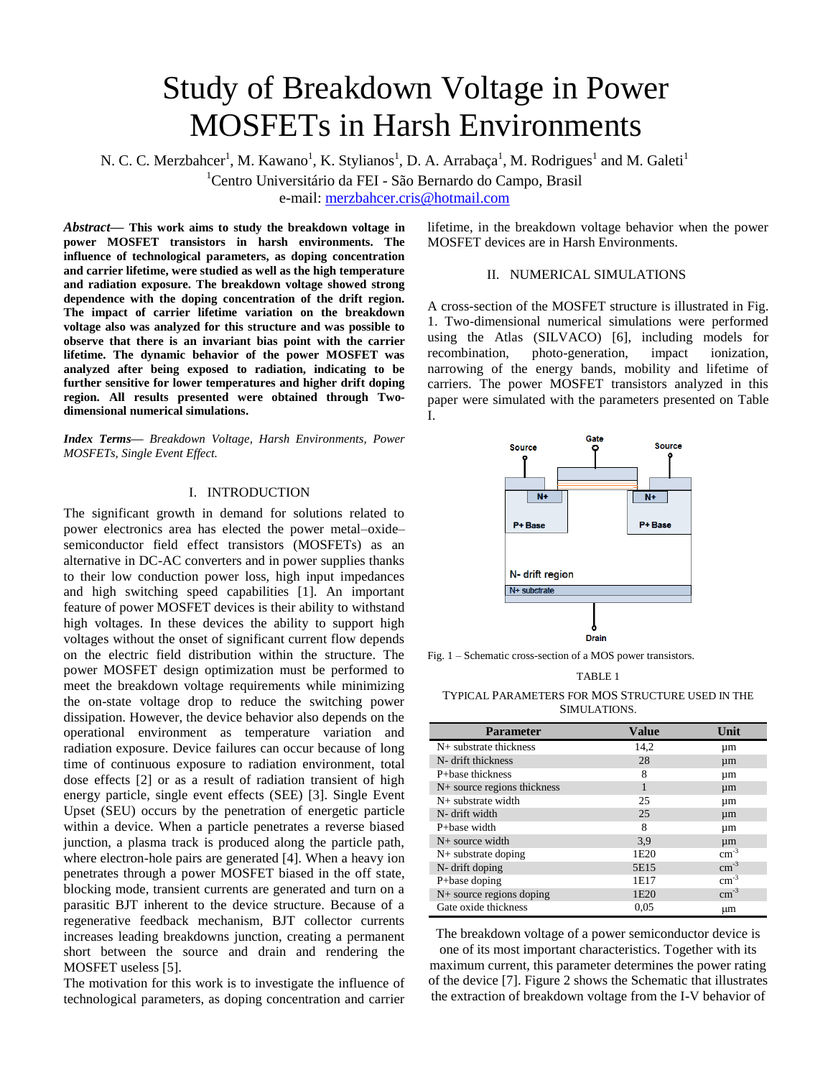# Study of Breakdown Voltage in Power MOSFETs in Harsh Environments

N. C. C. Merzbahcer<sup>1</sup>, M. Kawano<sup>1</sup>, K. Stylianos<sup>1</sup>, D. A. Arrabaça<sup>1</sup>, M. Rodrigues<sup>1</sup> and M. Galeti<sup>1</sup>

<sup>1</sup>Centro Universitário da FEI - São Bernardo do Campo, Brasil

e-mail: [merzbahcer.cris@hotmail.com](mailto:merzbahcer.cris@hotmail.com)

*Abstract***— This work aims to study the breakdown voltage in power MOSFET transistors in harsh environments. The influence of technological parameters, as doping concentration and carrier lifetime, were studied as well as the high temperature and radiation exposure. The breakdown voltage showed strong dependence with the doping concentration of the drift region. The impact of carrier lifetime variation on the breakdown voltage also was analyzed for this structure and was possible to observe that there is an invariant bias point with the carrier lifetime. The dynamic behavior of the power MOSFET was analyzed after being exposed to radiation, indicating to be further sensitive for lower temperatures and higher drift doping region. All results presented were obtained through Twodimensional numerical simulations.**

*Index Terms— Breakdown Voltage, Harsh Environments, Power MOSFETs, Single Event Effect.*

## I. INTRODUCTION

The significant growth in demand for solutions related to power electronics area has elected the power metal–oxide– semiconductor field effect transistors (MOSFETs) as an alternative in DC-AC converters and in power supplies thanks to their low conduction power loss, high input impedances and high switching speed capabilities [1]. An important feature of power MOSFET devices is their ability to withstand high voltages. In these devices the ability to support high voltages without the onset of significant current flow depends on the electric field distribution within the structure. The power MOSFET design optimization must be performed to meet the breakdown voltage requirements while minimizing the on-state voltage drop to reduce the switching power dissipation. However, the device behavior also depends on the operational environment as temperature variation and radiation exposure. Device failures can occur because of long time of continuous exposure to radiation environment, total dose effects [2] or as a result of radiation transient of high energy particle, single event effects (SEE) [3]. Single Event Upset (SEU) occurs by the penetration of energetic particle within a device. When a particle penetrates a reverse biased junction, a plasma track is produced along the particle path, where electron-hole pairs are generated [4]. When a heavy ion penetrates through a power MOSFET biased in the off state, blocking mode, transient currents are generated and turn on a parasitic BJT inherent to the device structure. Because of a regenerative feedback mechanism, BJT collector currents increases leading breakdowns junction, creating a permanent short between the source and drain and rendering the MOSFET useless [5].

The motivation for this work is to investigate the influence of technological parameters, as doping concentration and carrier

lifetime, in the breakdown voltage behavior when the power MOSFET devices are in Harsh Environments.

## II. NUMERICAL SIMULATIONS

A cross-section of the MOSFET structure is illustrated in Fig. 1. Two-dimensional numerical simulations were performed using the Atlas (SILVACO) [6], including models for recombination, photo-generation, impact ionization, narrowing of the energy bands, mobility and lifetime of carriers. The power MOSFET transistors analyzed in this paper were simulated with the parameters presented on Table I.



Fig. 1 – Schematic cross-section of a MOS power transistors.

TABLE 1

TYPICAL PARAMETERS FOR MOS STRUCTURE USED IN THE SIMULATIONS.

| <b>Parameter</b>              | <b>Value</b>     | Unit          |
|-------------------------------|------------------|---------------|
| $N+$ substrate thickness      | 14,2             | um            |
| N- drift thickness            | 28               | $\mu$ m       |
| P+base thickness              | 8                | um            |
| $N+$ source regions thickness | 1                | $\mu$ m       |
| $N+$ substrate width          | 25               | μm            |
| N- drift width                | 25               | $\mu$ m       |
| P+base width                  | 8                | um            |
| $N+$ source width             | 3.9              | $\mu$ m       |
| $N+$ substrate doping         | 1E <sub>20</sub> | $\rm cm^{-3}$ |
| N- drift doping               | 5E15             | $cm^{-3}$     |
| P+base doping                 | 1E17             | $cm^{-3}$     |
| N+ source regions doping      | 1E <sub>20</sub> | $cm^{-3}$     |
| Gate oxide thickness          | 0,05             | μm            |

The breakdown voltage of a power semiconductor device is one of its most important characteristics. Together with its maximum current, this parameter determines the power rating of the device [7]. Figure 2 shows the Schematic that illustrates the extraction of breakdown voltage from the I-V behavior of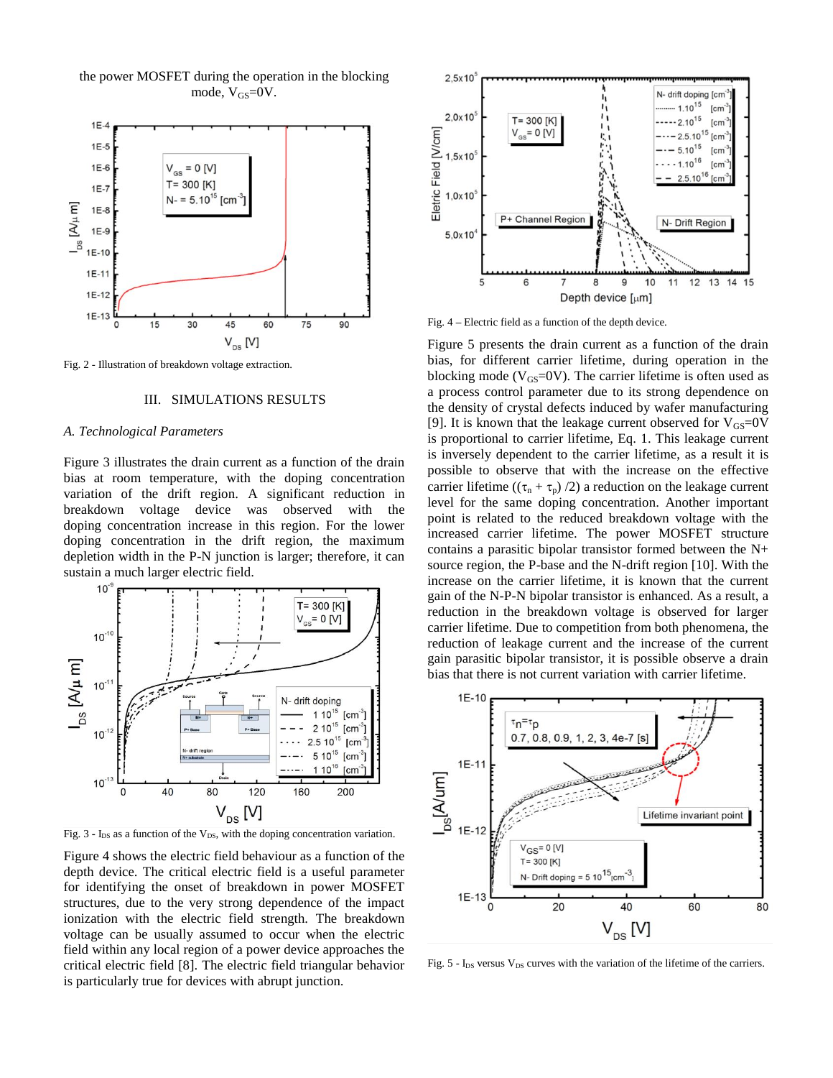the power MOSFET during the operation in the blocking mode,  $V_{GS}=0V$ .



Fig. 2 - Illustration of breakdown voltage extraction.

### III. SIMULATIONS RESULTS

## *A. Technological Parameters*

Figure 3 illustrates the drain current as a function of the drain bias at room temperature, with the doping concentration variation of the drift region. A significant reduction in breakdown voltage device was observed with the doping concentration increase in this region. For the lower doping concentration in the drift region, the maximum depletion width in the P-N junction is larger; therefore, it can sustain a much larger electric field.



Fig.  $3 - I_{DS}$  as a function of the V<sub>DS</sub>, with the doping concentration variation.

Figure 4 shows the electric field behaviour as a function of the depth device. The critical electric field is a useful parameter for identifying the onset of breakdown in power MOSFET structures, due to the very strong dependence of the impact ionization with the electric field strength. The breakdown voltage can be usually assumed to occur when the electric field within any local region of a power device approaches the critical electric field [8]. The electric field triangular behavior is particularly true for devices with abrupt junction.



Fig. 4 **–** Electric field as a function of the depth device.

Figure 5 presents the drain current as a function of the drain bias, for different carrier lifetime, during operation in the blocking mode ( $V_{GS}$ =0V). The carrier lifetime is often used as a process control parameter due to its strong dependence on the density of crystal defects induced by wafer manufacturing [9]. It is known that the leakage current observed for  $V_{GS}=0V$ is proportional to carrier lifetime, Eq. 1. This leakage current is inversely dependent to the carrier lifetime, as a result it is possible to observe that with the increase on the effective carrier lifetime  $((\tau_n + \tau_p)/2)$  a reduction on the leakage current level for the same doping concentration. Another important point is related to the reduced breakdown voltage with the increased carrier lifetime. The power MOSFET structure contains a parasitic bipolar transistor formed between the N+ source region, the P-base and the N-drift region [10]. With the increase on the carrier lifetime, it is known that the current gain of the N-P-N bipolar transistor is enhanced. As a result, a reduction in the breakdown voltage is observed for larger carrier lifetime. Due to competition from both phenomena, the reduction of leakage current and the increase of the current gain parasitic bipolar transistor, it is possible observe a drain bias that there is not current variation with carrier lifetime.



Fig.  $5 - I_{DS}$  versus  $V_{DS}$  curves with the variation of the lifetime of the carriers.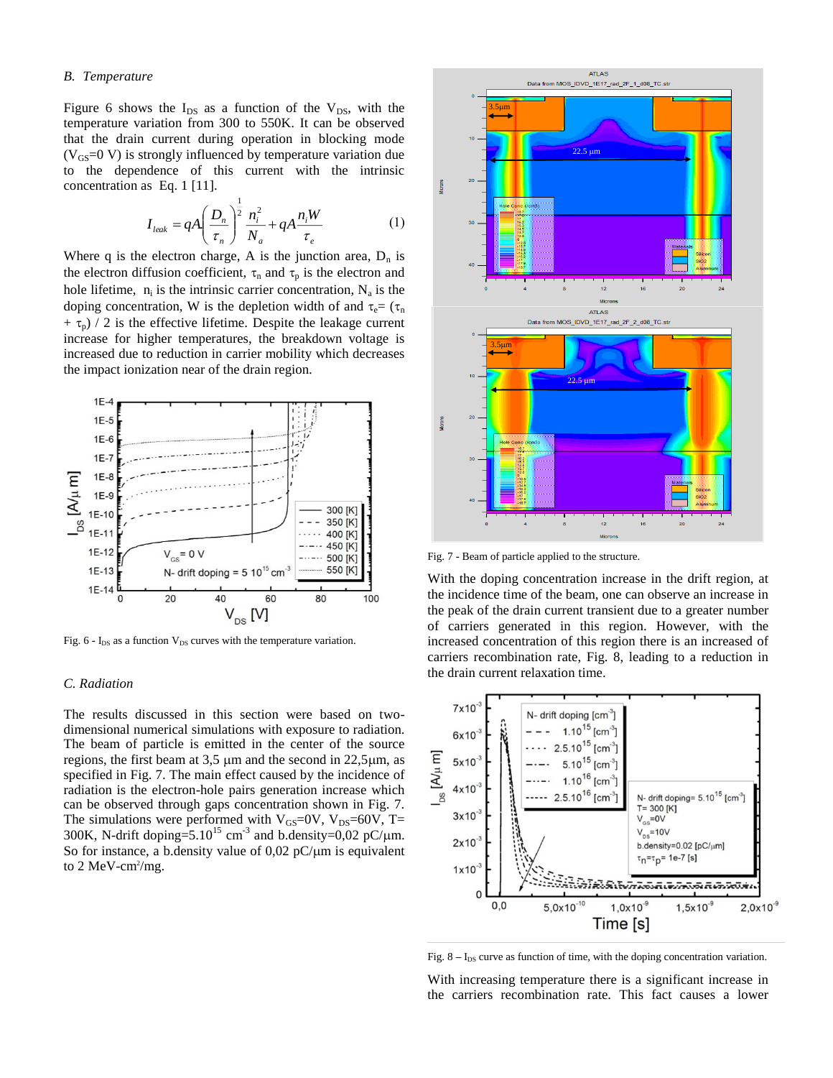## *B. Temperature*

Figure 6 shows the  $I_{DS}$  as a function of the  $V_{DS}$ , with the temperature variation from 300 to 550K. It can be observed that the drain current during operation in blocking mode  $(V_{\text{GS}}=0 \text{ V})$  is strongly influenced by temperature variation due to the dependence of this current with the intrinsic concentration as Eq. 1 [11].

$$
I_{leak} = qA \left(\frac{D_n}{\tau_n}\right)^{\frac{1}{2}} \frac{n_i^2}{N_a} + qA \frac{n_i W}{\tau_e}
$$
 (1)

Where q is the electron charge, A is the junction area,  $D_n$  is the electron diffusion coefficient,  $\tau_n$  and  $\tau_p$  is the electron and hole lifetime,  $n_i$  is the intrinsic carrier concentration,  $N_a$  is the doping concentration, W is the depletion width of and  $\tau_e = (\tau_n)$  $+\tau_{\rm n}$ ) / 2 is the effective lifetime. Despite the leakage current increase for higher temperatures, the breakdown voltage is increased due to reduction in carrier mobility which decreases the impact ionization near of the drain region.



Fig. 6 **-** I<sub>DS</sub> as a function V<sub>DS</sub> curves with the temperature variation.

## *C. Radiation*

The results discussed in this section were based on twodimensional numerical simulations with exposure to radiation. The beam of particle is emitted in the center of the source regions, the first beam at  $3.5 \mu$ m and the second in  $22.5 \mu$ m, as specified in Fig. 7. The main effect caused by the incidence of radiation is the electron-hole pairs generation increase which can be observed through gaps concentration shown in Fig. 7. The simulations were performed with  $V_{GS}=0V$ ,  $V_{DS}=60V$ , T= 300K, N-drift doping= $5.10^{15}$  cm<sup>-3</sup> and b.density=0,02 pC/ $\mu$ m. So for instance, a b.density value of  $0.02$  pC/ $\mu$ m is equivalent to 2 MeV-cm<sup>2</sup>/mg.



Fig. 7 **-** Beam of particle applied to the structure.

With the doping concentration increase in the drift region, at the incidence time of the beam, one can observe an increase in the peak of the drain current transient due to a greater number of carriers generated in this region. However, with the increased concentration of this region there is an increased of carriers recombination rate, Fig. 8, leading to a reduction in the drain current relaxation time.



Fig.  $8 - I_{DS}$  curve as function of time, with the doping concentration variation.

With increasing temperature there is a significant increase in the carriers recombination rate. This fact causes a lower